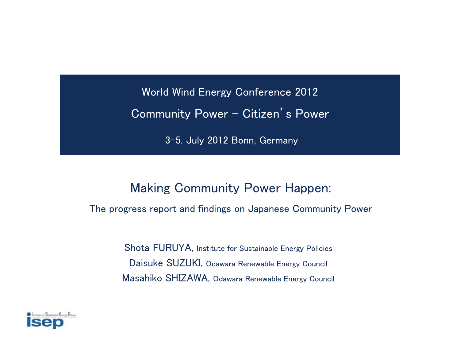World Wind Energy Conference 2012 Community Power – Citizen's Power

3-5. July 2012 Bonn, Germany

#### Making Community Power Happen:

The progress report and findings on Japanese Community Power

Shota FURUYA, Institute for Sustainable Energy Policies Daisuke SUZUKI, Odawara Renewable Energy Council Masahiko SHIZAWA, Odawara Renewable Energy Council

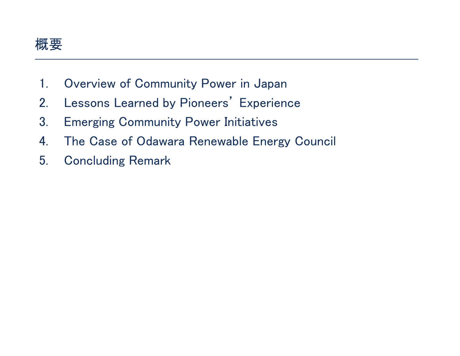

- 1.Overview of Community Power in Japan
- 2.Lessons Learned by Pioneers' Experience
- 3.Emerging Community Power Initiatives
- 4.The Case of Odawara Renewable Energy Council
- 5.Concluding Remark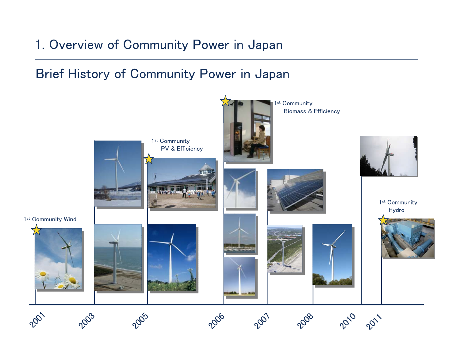# 1. Overview of Community Power in Japan

### Brief History of Community Power in Japan

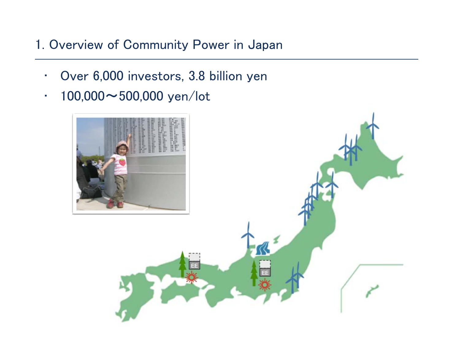# 1. Overview of Community Power in Japan

- •Over 6,000 investors, 3.8 billion yen
- •100,000〜500,000 yen/lot

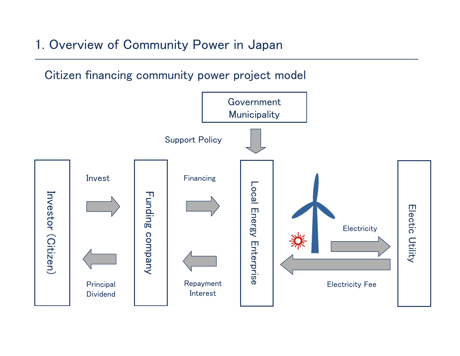### 1. Overview of Community Power in Japan

Citizen financing community power project model

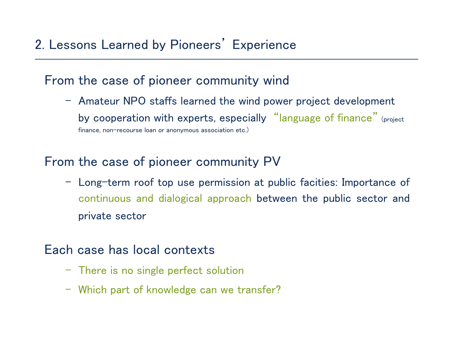# 2. Lessons Learned by Pioneers' Experience

### From the case of pioneer community wind

– Amateur NPO staffs learned the wind power project development by cooperation with experts, especially "language of finance" (project finance, non-recourse loan or anonymous association etc.)

### From the case of pioneer community PV

– Long-term roof top use permission at public facities: Importance of continuous and dialogical approach between the public sector and private sector

#### Each case has local contexts

- There is no single perfect solution
- Which part of knowledge can we transfer?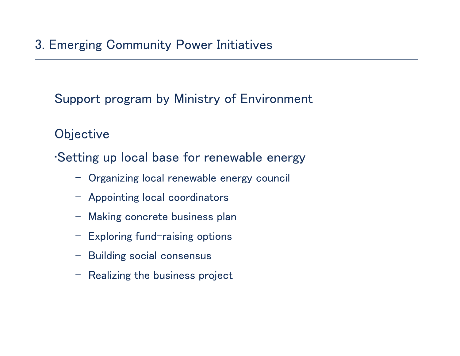Support program by Ministry of Environment

**Objective** 

•Setting up local base for renewable energy

- Organizing local renewable energy council
- Appointing local coordinators
- Making concrete business plan
- Exploring fund-raising options
- Building social consensus
- Realizing the business project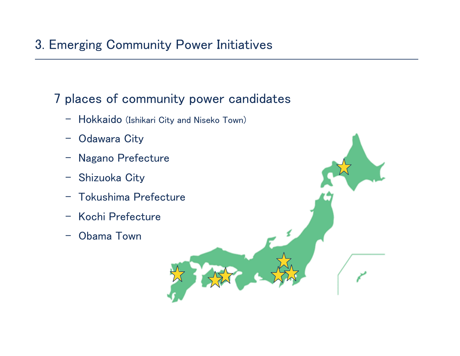# 3. Emerging Community Power Initiatives

### 7 places of community power candidates

- Hokkaido (Ishikari City and Niseko Town)
- –Odawara City
- Nagano Prefecture
- Shizuoka City
- Tokushima Prefecture
- Kochi Prefecture
- Obama Town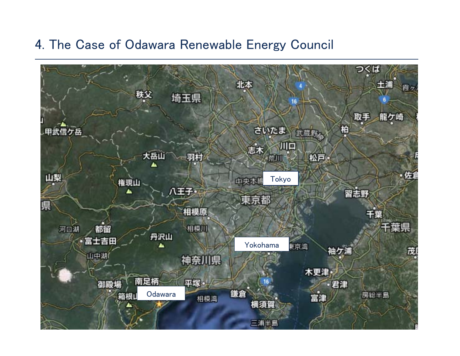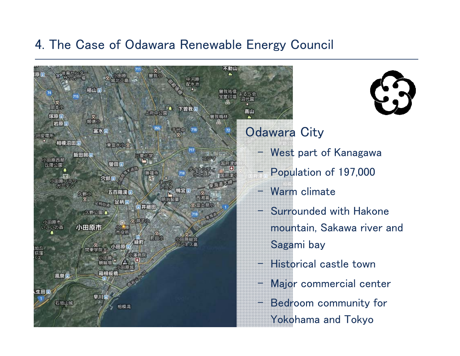

### Odawara City

- West part of Kanagawa
- Population of 197,000
	- Warm climate
	- Surrounded with Hakone mountain, Sakawa river and Sagami bay
	- Historical castle town
	- Major commercial center
	- Bedroom community for Yokohama and Tokyo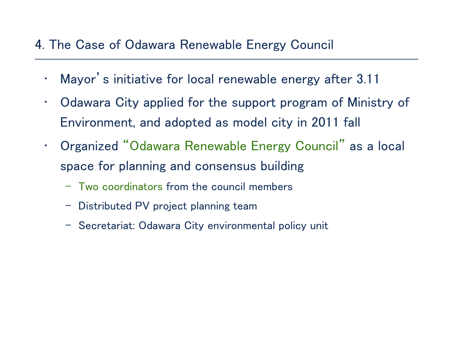- •Mayor's initiative for local renewable energy after 3.11
- • Odawara City applied for the support program of Ministry of Environment, and adopted as model city in 2011 fall
- • Organized "Odawara Renewable Energy Council" as a local space for planning and consensus building
	- Two coordinators from the council members
	- Distributed PV project planning team
	- Secretariat: Odawara City environmental policy unit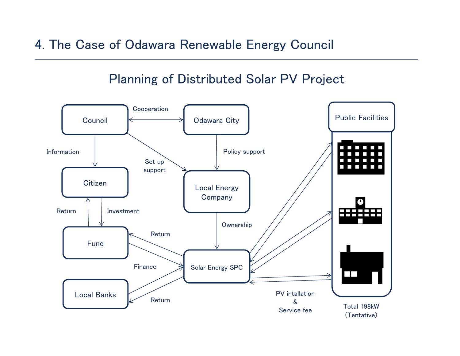#### Planning of Distributed Solar PV Project

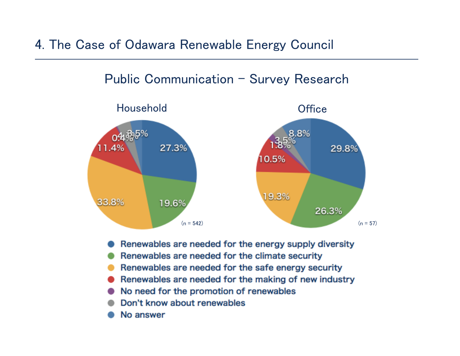



- Renewables are needed for the energy supply diversity
- Renewables are needed for the climate security
- Renewables are needed for the safe energy security .
- Renewables are needed for the making of new industry
- No need for the promotion of renewables
- Don't know about renewables
- No answer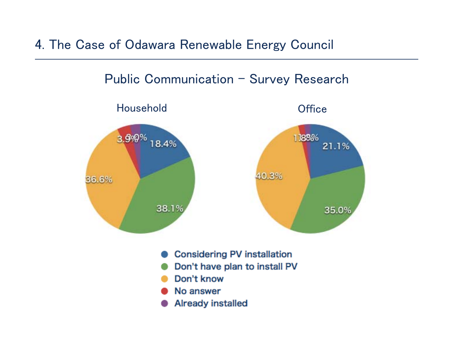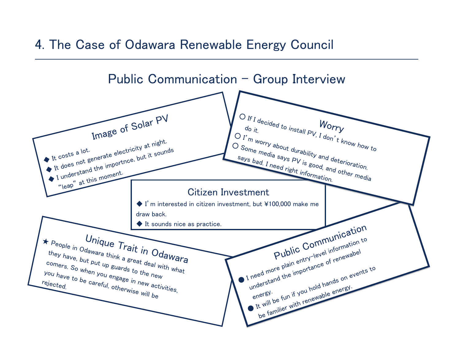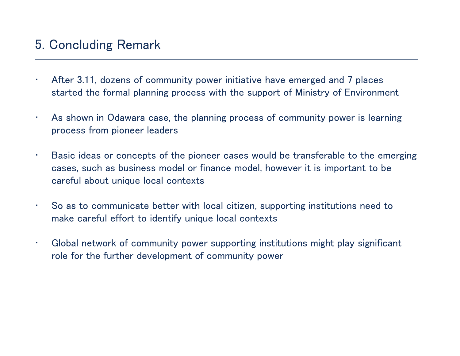### 5. Concluding Remark

- • After 3.11, dozens of community power initiative have emerged and 7 places started the formal planning process with the support of Ministry of Environment
- • As shown in Odawara case, the planning process of community power is learning process from pioneer leaders
- • Basic ideas or concepts of the pioneer cases would be transferable to the emerging cases, such as business model or finance model, however it is important to be careful about unique local contexts
- • So as to communicate better with local citizen, supporting institutions need to make careful effort to identify unique local contexts
- • Global network of community power supporting institutions might play significant role for the further development of community power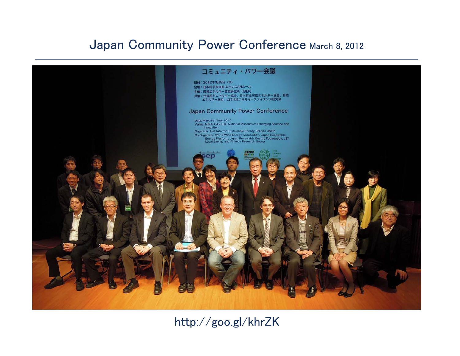### Japan Community Power Conference March 8, 2012



#### http://goo.gl/khrZK